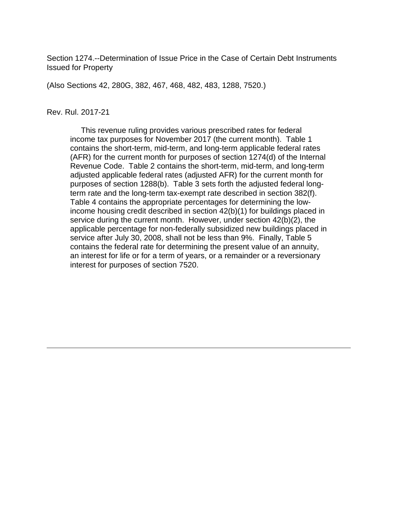Section 1274.--Determination of Issue Price in the Case of Certain Debt Instruments Issued for Property

(Also Sections 42, 280G, 382, 467, 468, 482, 483, 1288, 7520.)

#### Rev. Rul. 2017-21

 This revenue ruling provides various prescribed rates for federal income tax purposes for November 2017 (the current month). Table 1 contains the short-term, mid-term, and long-term applicable federal rates (AFR) for the current month for purposes of section 1274(d) of the Internal Revenue Code. Table 2 contains the short-term, mid-term, and long-term adjusted applicable federal rates (adjusted AFR) for the current month for purposes of section 1288(b). Table 3 sets forth the adjusted federal longterm rate and the long-term tax-exempt rate described in section 382(f). Table 4 contains the appropriate percentages for determining the lowincome housing credit described in section 42(b)(1) for buildings placed in service during the current month. However, under section 42(b)(2), the applicable percentage for non-federally subsidized new buildings placed in service after July 30, 2008, shall not be less than 9%. Finally, Table 5 contains the federal rate for determining the present value of an annuity, an interest for life or for a term of years, or a remainder or a reversionary interest for purposes of section 7520.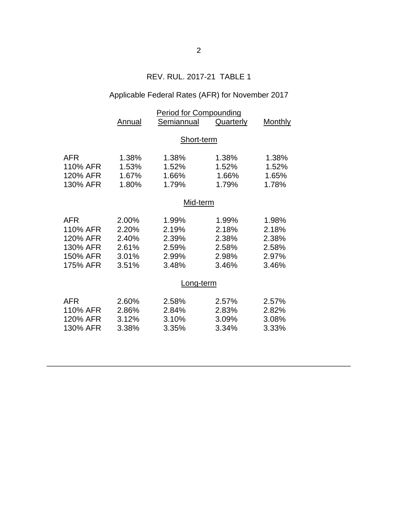## REV. RUL. 2017-21 TABLE 1

# Applicable Federal Rates (AFR) for November 2017

|            | <b>Period for Compounding</b> |            |           |         |  |
|------------|-------------------------------|------------|-----------|---------|--|
|            | Annual                        | Semiannual | Quarterly | Monthly |  |
|            |                               |            |           |         |  |
|            | Short-term                    |            |           |         |  |
| AFR        | 1.38%                         | 1.38%      | 1.38%     | 1.38%   |  |
| 110% AFR   | 1.53%                         | 1.52%      | 1.52%     | 1.52%   |  |
| 120% AFR   | 1.67%                         | 1.66%      | 1.66%     | 1.65%   |  |
| 130% AFR   | 1.80%                         | 1.79%      | 1.79%     | 1.78%   |  |
|            | Mid-term                      |            |           |         |  |
|            |                               |            |           |         |  |
| <b>AFR</b> | 2.00%                         | 1.99%      | 1.99%     | 1.98%   |  |
| 110% AFR   | 2.20%                         | 2.19%      | 2.18%     | 2.18%   |  |
| 120% AFR   | 2.40%                         | 2.39%      | 2.38%     | 2.38%   |  |
| 130% AFR   | 2.61%                         | 2.59%      | 2.58%     | 2.58%   |  |
| 150% AFR   | 3.01%                         | 2.99%      | 2.98%     | 2.97%   |  |
| 175% AFR   | 3.51%                         | 3.48%      | 3.46%     | 3.46%   |  |
|            | Long-term                     |            |           |         |  |
| <b>AFR</b> | 2.60%                         | 2.58%      | 2.57%     | 2.57%   |  |
| 110% AFR   | 2.86%                         | 2.84%      | 2.83%     | 2.82%   |  |
| 120% AFR   | 3.12%                         | 3.10%      | 3.09%     | 3.08%   |  |
| 130% AFR   | 3.38%                         | 3.35%      | 3.34%     | 3.33%   |  |
|            |                               |            |           |         |  |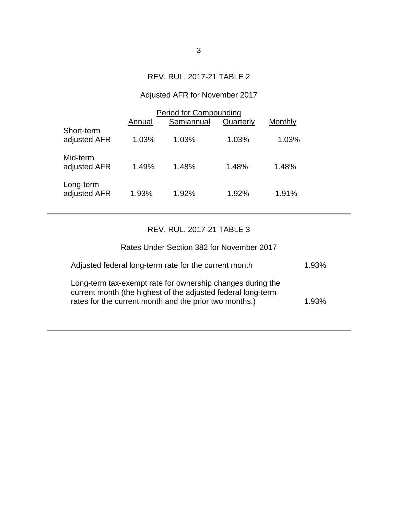## REV. RUL. 2017-21 TABLE 2

# Adjusted AFR for November 2017

|                            | <b>Period for Compounding</b> |            |           |         |  |
|----------------------------|-------------------------------|------------|-----------|---------|--|
|                            | Annual                        | Semiannual | Quarterly | Monthly |  |
| Short-term<br>adjusted AFR | 1.03%                         | 1.03%      | 1.03%     | 1.03%   |  |
| Mid-term<br>adjusted AFR   | 1.49%                         | 1.48%      | 1.48%     | 1.48%   |  |
| Long-term<br>adjusted AFR  | 1.93%                         | 1.92%      | 1.92%     | 1.91%   |  |

## REV. RUL. 2017-21 TABLE 3

| Rates Under Section 382 for November 2017                                                                                                                                            |       |
|--------------------------------------------------------------------------------------------------------------------------------------------------------------------------------------|-------|
| Adjusted federal long-term rate for the current month                                                                                                                                | 1.93% |
| Long-term tax-exempt rate for ownership changes during the<br>current month (the highest of the adjusted federal long-term<br>rates for the current month and the prior two months.) | 1.93% |